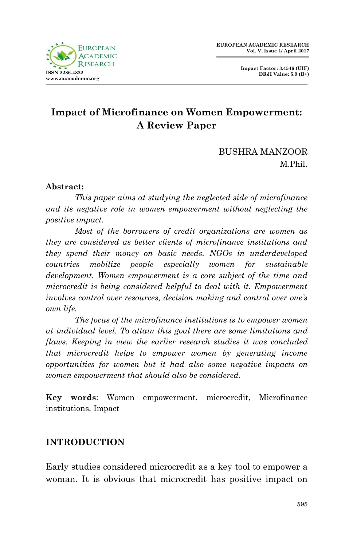

**Impact Factor: 3.4546 (UIF) DRJI Value: 5.9 (B+)**

# **Impact of Microfinance on Women Empowerment: A Review Paper**

BUSHRA MANZOOR M.Phil.

#### **Abstract:**

*This paper aims at studying the neglected side of microfinance and its negative role in women empowerment without neglecting the positive impact.* 

*Most of the borrowers of credit organizations are women as they are considered as better clients of microfinance institutions and they spend their money on basic needs. NGOs in underdeveloped countries mobilize people especially women for sustainable development. Women empowerment is a core subject of the time and microcredit is being considered helpful to deal with it. Empowerment involves control over resources, decision making and control over one's own life.*

*The focus of the microfinance institutions is to empower women at individual level. To attain this goal there are some limitations and flaws. Keeping in view the earlier research studies it was concluded that microcredit helps to empower women by generating income opportunities for women but it had also some negative impacts on women empowerment that should also be considered.*

**Key words**: Women empowerment, microcredit, Microfinance institutions, Impact

### **INTRODUCTION**

Early studies considered microcredit as a key tool to empower a woman. It is obvious that microcredit has positive impact on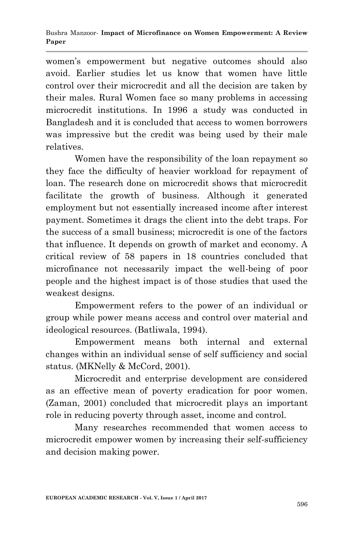women"s empowerment but negative outcomes should also avoid. Earlier studies let us know that women have little control over their microcredit and all the decision are taken by their males. Rural Women face so many problems in accessing microcredit institutions. In 1996 a study was conducted in Bangladesh and it is concluded that access to women borrowers was impressive but the credit was being used by their male relatives.

Women have the responsibility of the loan repayment so they face the difficulty of heavier workload for repayment of loan. The research done on microcredit shows that microcredit facilitate the growth of business. Although it generated employment but not essentially increased income after interest payment. Sometimes it drags the client into the debt traps. For the success of a small business; microcredit is one of the factors that influence. It depends on growth of market and economy. A critical review of 58 papers in 18 countries concluded that microfinance not necessarily impact the well-being of poor people and the highest impact is of those studies that used the weakest designs.

Empowerment refers to the power of an individual or group while power means access and control over material and ideological resources. (Batliwala, 1994).

Empowerment means both internal and external changes within an individual sense of self sufficiency and social status. (MKNelly & McCord, 2001).

Microcredit and enterprise development are considered as an effective mean of poverty eradication for poor women. (Zaman, 2001) concluded that microcredit plays an important role in reducing poverty through asset, income and control.

Many researches recommended that women access to microcredit empower women by increasing their self-sufficiency and decision making power.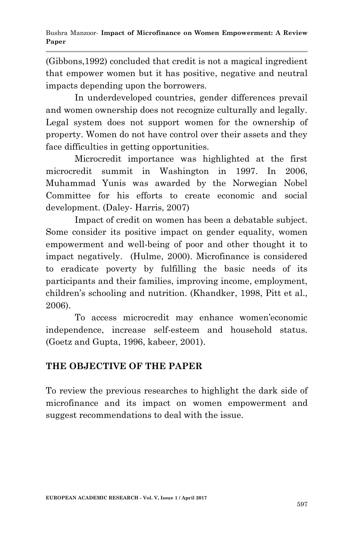(Gibbons,1992) concluded that credit is not a magical ingredient that empower women but it has positive, negative and neutral impacts depending upon the borrowers.

In underdeveloped countries, gender differences prevail and women ownership does not recognize culturally and legally. Legal system does not support women for the ownership of property. Women do not have control over their assets and they face difficulties in getting opportunities.

Microcredit importance was highlighted at the first microcredit summit in Washington in 1997. In 2006, Muhammad Yunis was awarded by the Norwegian Nobel Committee for his efforts to create economic and social development. (Daley- Harris, 2007)

Impact of credit on women has been a debatable subject. Some consider its positive impact on gender equality, women empowerment and well-being of poor and other thought it to impact negatively. (Hulme, 2000). Microfinance is considered to eradicate poverty by fulfilling the basic needs of its participants and their families, improving income, employment, children"s schooling and nutrition. (Khandker, 1998, Pitt et al., 2006).

To access microcredit may enhance women"economic independence, increase self-esteem and household status. (Goetz and Gupta, 1996, kabeer, 2001).

### **THE OBJECTIVE OF THE PAPER**

To review the previous researches to highlight the dark side of microfinance and its impact on women empowerment and suggest recommendations to deal with the issue.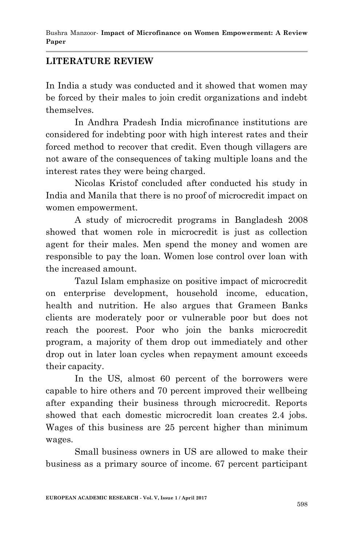### **LITERATURE REVIEW**

In India a study was conducted and it showed that women may be forced by their males to join credit organizations and indebt themselves.

In Andhra Pradesh India microfinance institutions are considered for indebting poor with high interest rates and their forced method to recover that credit. Even though villagers are not aware of the consequences of taking multiple loans and the interest rates they were being charged.

Nicolas Kristof concluded after conducted his study in India and Manila that there is no proof of microcredit impact on women empowerment.

A study of microcredit programs in Bangladesh 2008 showed that women role in microcredit is just as collection agent for their males. Men spend the money and women are responsible to pay the loan. Women lose control over loan with the increased amount.

Tazul Islam emphasize on positive impact of microcredit on enterprise development, household income, education, health and nutrition. He also argues that Grameen Banks clients are moderately poor or vulnerable poor but does not reach the poorest. Poor who join the banks microcredit program, a majority of them drop out immediately and other drop out in later loan cycles when repayment amount exceeds their capacity.

In the US, almost 60 percent of the borrowers were capable to hire others and 70 percent improved their wellbeing after expanding their business through microcredit. Reports showed that each domestic microcredit loan creates 2.4 jobs. Wages of this business are 25 percent higher than minimum wages.

Small business owners in US are allowed to make their business as a primary source of income. 67 percent participant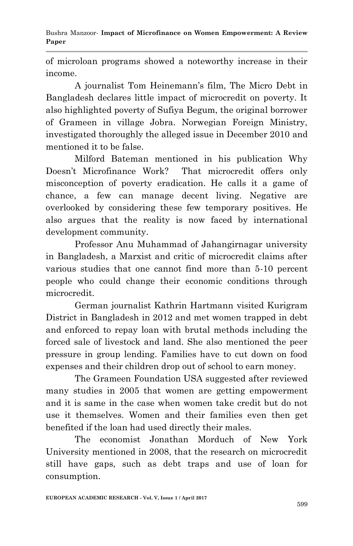Bushra Manzoor*-* **Impact of Microfinance on Women Empowerment: A Review Paper**

of microloan programs showed a noteworthy increase in their income.

A journalist Tom Heinemann"s film, The Micro Debt in Bangladesh declares little impact of microcredit on poverty. It also highlighted poverty of Sufiya Begum, the original borrower of Grameen in village Jobra. Norwegian Foreign Ministry, investigated thoroughly the alleged issue in December 2010 and mentioned it to be false.

Milford Bateman mentioned in his publication Why Doesn"t Microfinance Work? That microcredit offers only misconception of poverty eradication. He calls it a game of chance, a few can manage decent living. Negative are overlooked by considering these few temporary positives. He also argues that the reality is now faced by international development community.

Professor Anu Muhammad of Jahangirnagar university in Bangladesh, a Marxist and critic of microcredit claims after various studies that one cannot find more than 5-10 percent people who could change their economic conditions through microcredit.

German journalist Kathrin Hartmann visited Kurigram District in Bangladesh in 2012 and met women trapped in debt and enforced to repay loan with brutal methods including the forced sale of livestock and land. She also mentioned the peer pressure in group lending. Families have to cut down on food expenses and their children drop out of school to earn money.

The Grameen Foundation USA suggested after reviewed many studies in 2005 that women are getting empowerment and it is same in the case when women take credit but do not use it themselves. Women and their families even then get benefited if the loan had used directly their males.

The economist Jonathan Morduch of New York University mentioned in 2008, that the research on microcredit still have gaps, such as debt traps and use of loan for consumption.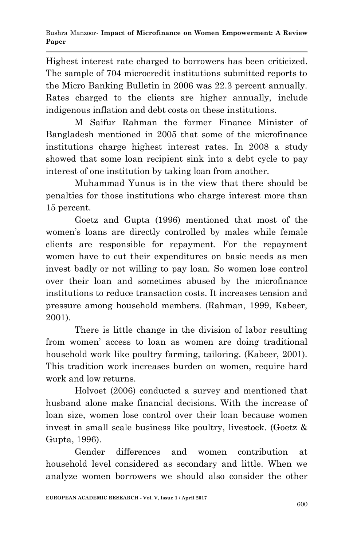Highest interest rate charged to borrowers has been criticized. The sample of 704 microcredit institutions submitted reports to the Micro Banking Bulletin in 2006 was 22.3 percent annually. Rates charged to the clients are higher annually, include indigenous inflation and debt costs on these institutions.

M Saifur Rahman the former Finance Minister of Bangladesh mentioned in 2005 that some of the microfinance institutions charge highest interest rates. In 2008 a study showed that some loan recipient sink into a debt cycle to pay interest of one institution by taking loan from another.

Muhammad Yunus is in the view that there should be penalties for those institutions who charge interest more than 15 percent.

Goetz and Gupta (1996) mentioned that most of the women"s loans are directly controlled by males while female clients are responsible for repayment. For the repayment women have to cut their expenditures on basic needs as men invest badly or not willing to pay loan. So women lose control over their loan and sometimes abused by the microfinance institutions to reduce transaction costs. It increases tension and pressure among household members. (Rahman, 1999, Kabeer, 2001).

There is little change in the division of labor resulting from women" access to loan as women are doing traditional household work like poultry farming, tailoring. (Kabeer, 2001). This tradition work increases burden on women, require hard work and low returns.

Holvoet (2006) conducted a survey and mentioned that husband alone make financial decisions. With the increase of loan size, women lose control over their loan because women invest in small scale business like poultry, livestock. (Goetz & Gupta, 1996).

Gender differences and women contribution at household level considered as secondary and little. When we analyze women borrowers we should also consider the other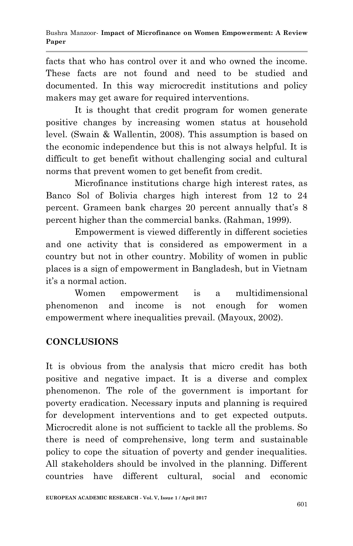facts that who has control over it and who owned the income. These facts are not found and need to be studied and documented. In this way microcredit institutions and policy makers may get aware for required interventions.

It is thought that credit program for women generate positive changes by increasing women status at household level. (Swain & Wallentin, 2008). This assumption is based on the economic independence but this is not always helpful. It is difficult to get benefit without challenging social and cultural norms that prevent women to get benefit from credit.

Microfinance institutions charge high interest rates, as Banco Sol of Bolivia charges high interest from 12 to 24 percent. Grameen bank charges 20 percent annually that's 8 percent higher than the commercial banks. (Rahman, 1999).

Empowerment is viewed differently in different societies and one activity that is considered as empowerment in a country but not in other country. Mobility of women in public places is a sign of empowerment in Bangladesh, but in Vietnam it's a normal action.

Women empowerment is a multidimensional phenomenon and income is not enough for women empowerment where inequalities prevail. (Mayoux, 2002).

## **CONCLUSIONS**

It is obvious from the analysis that micro credit has both positive and negative impact. It is a diverse and complex phenomenon. The role of the government is important for poverty eradication. Necessary inputs and planning is required for development interventions and to get expected outputs. Microcredit alone is not sufficient to tackle all the problems. So there is need of comprehensive, long term and sustainable policy to cope the situation of poverty and gender inequalities. All stakeholders should be involved in the planning. Different countries have different cultural, social and economic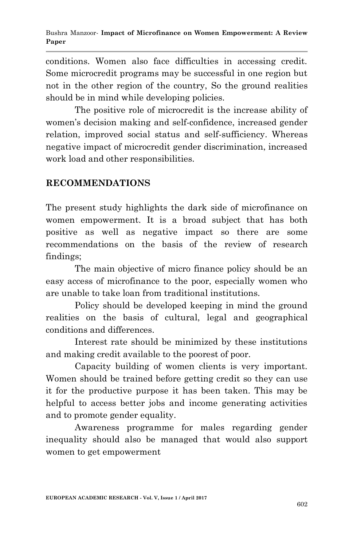conditions. Women also face difficulties in accessing credit. Some microcredit programs may be successful in one region but not in the other region of the country, So the ground realities should be in mind while developing policies.

The positive role of microcredit is the increase ability of women"s decision making and self-confidence, increased gender relation, improved social status and self-sufficiency. Whereas negative impact of microcredit gender discrimination, increased work load and other responsibilities.

#### **RECOMMENDATIONS**

The present study highlights the dark side of microfinance on women empowerment. It is a broad subject that has both positive as well as negative impact so there are some recommendations on the basis of the review of research findings;

The main objective of micro finance policy should be an easy access of microfinance to the poor, especially women who are unable to take loan from traditional institutions.

Policy should be developed keeping in mind the ground realities on the basis of cultural, legal and geographical conditions and differences.

Interest rate should be minimized by these institutions and making credit available to the poorest of poor.

Capacity building of women clients is very important. Women should be trained before getting credit so they can use it for the productive purpose it has been taken. This may be helpful to access better jobs and income generating activities and to promote gender equality.

Awareness programme for males regarding gender inequality should also be managed that would also support women to get empowerment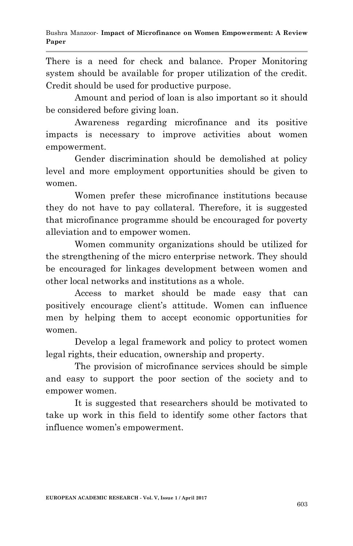There is a need for check and balance. Proper Monitoring system should be available for proper utilization of the credit. Credit should be used for productive purpose.

Amount and period of loan is also important so it should be considered before giving loan.

Awareness regarding microfinance and its positive impacts is necessary to improve activities about women empowerment.

Gender discrimination should be demolished at policy level and more employment opportunities should be given to women.

Women prefer these microfinance institutions because they do not have to pay collateral. Therefore, it is suggested that microfinance programme should be encouraged for poverty alleviation and to empower women.

Women community organizations should be utilized for the strengthening of the micro enterprise network. They should be encouraged for linkages development between women and other local networks and institutions as a whole.

Access to market should be made easy that can positively encourage client's attitude. Women can influence men by helping them to accept economic opportunities for women.

Develop a legal framework and policy to protect women legal rights, their education, ownership and property.

The provision of microfinance services should be simple and easy to support the poor section of the society and to empower women.

It is suggested that researchers should be motivated to take up work in this field to identify some other factors that influence women"s empowerment.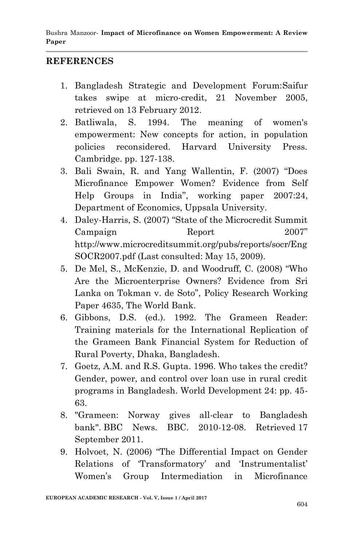#### **REFERENCES**

- 1. Bangladesh Strategic and Development Forum:Saifur takes swipe at micro-credit, 21 November 2005, retrieved on 13 February 2012.
- 2. Batliwala, S. 1994. The meaning of women's empowerment: New concepts for action, in population policies reconsidered. Harvard University Press. Cambridge. pp. 127-138.
- 3. Bali Swain, R. and Yang Wallentin, F. (2007) "Does Microfinance Empower Women? Evidence from Self Help Groups in India", working paper 2007:24, Department of Economics, Uppsala University.
- 4. Daley-Harris, S. (2007) "State of the Microcredit Summit Campaign Report 2007" http://www.microcreditsummit.org/pubs/reports/socr/Eng SOCR2007.pdf (Last consulted: May 15, 2009).
- 5. De Mel, S., McKenzie, D. and Woodruff, C. (2008) "Who Are the Microenterprise Owners? Evidence from Sri Lanka on Tokman v. de Soto", Policy Research Working Paper 4635, The World Bank.
- 6. Gibbons, D.S. (ed.). 1992. The Grameen Reader: Training materials for the International Replication of the Grameen Bank Financial System for Reduction of Rural Poverty, Dhaka, Bangladesh.
- 7. Goetz, A.M. and R.S. Gupta. 1996. Who takes the credit? Gender, power, and control over loan use in rural credit programs in Bangladesh. World Development 24: pp. 45- 63.
- 8. "Grameen: Norway gives all-clear to Bangladesh bank". BBC News. BBC. 2010-12-08. Retrieved 17 September 2011.
- 9. Holvoet, N. (2006) "The Differential Impact on Gender Relations of 'Transformatory' and 'Instrumentalist' Women"s Group Intermediation in Microfinance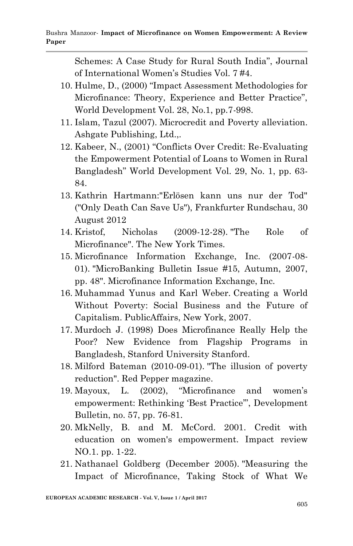Schemes: A Case Study for Rural South India", Journal of International Women"s Studies Vol. 7 #4.

- 10. Hulme, D., (2000) "Impact Assessment Methodologies for Microfinance: Theory, Experience and Better Practice", World Development Vol. 28, No.1, pp.7-998.
- 11. Islam, Tazul (2007). Microcredit and Poverty alleviation. Ashgate Publishing, Ltd.,.
- 12. Kabeer, N., (2001) "Conflicts Over Credit: Re-Evaluating the Empowerment Potential of Loans to Women in Rural Bangladesh" World Development Vol. 29, No. 1, pp. 63- 84.
- 13. Kathrin Hartmann:"Erlösen kann uns nur der Tod" ("Only Death Can Save Us"), Frankfurter Rundschau, 30 August 2012
- 14. Kristof, Nicholas (2009-12-28). "The Role of Microfinance". The New York Times.
- 15. Microfinance Information Exchange, Inc. (2007-08- 01). "MicroBanking Bulletin Issue #15, Autumn, 2007, pp. 48". Microfinance Information Exchange, Inc.
- 16. Muhammad Yunus and Karl Weber. Creating a World Without Poverty: Social Business and the Future of Capitalism. PublicAffairs, New York, 2007.
- 17. Murdoch J. (1998) Does Microfinance Really Help the Poor? New Evidence from Flagship Programs in Bangladesh, Stanford University Stanford.
- 18. Milford Bateman (2010-09-01). "The illusion of poverty reduction". Red Pepper magazine.
- 19. Mayoux, L. (2002), "Microfinance and women"s empowerment: Rethinking "Best Practice"", Development Bulletin, no. 57, pp. 76-81.
- 20. MkNelly, B. and M. McCord. 2001. Credit with education on women's empowerment. Impact review NO.1. pp. 1-22.
- 21. Nathanael Goldberg (December 2005). "Measuring the Impact of Microfinance, Taking Stock of What We